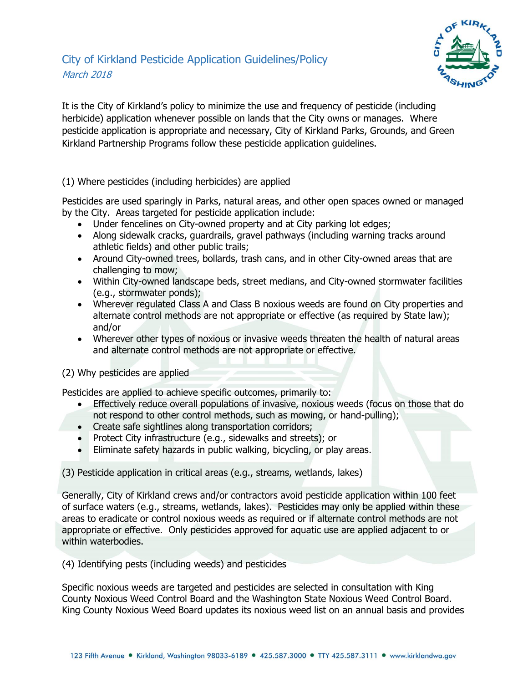

It is the City of Kirkland's policy to minimize the use and frequency of pesticide (including herbicide) application whenever possible on lands that the City owns or manages. Where pesticide application is appropriate and necessary, City of Kirkland Parks, Grounds, and Green Kirkland Partnership Programs follow these pesticide application guidelines.

(1) Where pesticides (including herbicides) are applied

Pesticides are used sparingly in Parks, natural areas, and other open spaces owned or managed by the City. Areas targeted for pesticide application include:

- Under fencelines on City-owned property and at City parking lot edges;
- Along sidewalk cracks, guardrails, gravel pathways (including warning tracks around athletic fields) and other public trails;
- Around City-owned trees, bollards, trash cans, and in other City-owned areas that are challenging to mow;
- Within City-owned landscape beds, street medians, and City-owned stormwater facilities (e.g., stormwater ponds);
- Wherever regulated Class A and Class B noxious weeds are found on City properties and alternate control methods are not appropriate or effective (as required by State law); and/or
- Wherever other types of noxious or invasive weeds threaten the health of natural areas and alternate control methods are not appropriate or effective.

(2) Why pesticides are applied

Pesticides are applied to achieve specific outcomes, primarily to:

- Effectively reduce overall populations of invasive, noxious weeds (focus on those that do not respond to other control methods, such as mowing, or hand-pulling);
- Create safe sightlines along transportation corridors;
- Protect City infrastructure (e.g., sidewalks and streets); or
- Eliminate safety hazards in public walking, bicycling, or play areas.

(3) Pesticide application in critical areas (e.g., streams, wetlands, lakes)

Generally, City of Kirkland crews and/or contractors avoid pesticide application within 100 feet of surface waters (e.g., streams, wetlands, lakes). Pesticides may only be applied within these areas to eradicate or control noxious weeds as required or if alternate control methods are not appropriate or effective. Only pesticides approved for aquatic use are applied adjacent to or within waterbodies.

(4) Identifying pests (including weeds) and pesticides

Specific noxious weeds are targeted and pesticides are selected in consultation with King County Noxious Weed Control Board and the Washington State Noxious Weed Control Board. King County Noxious Weed Board updates its noxious weed list on an annual basis and provides